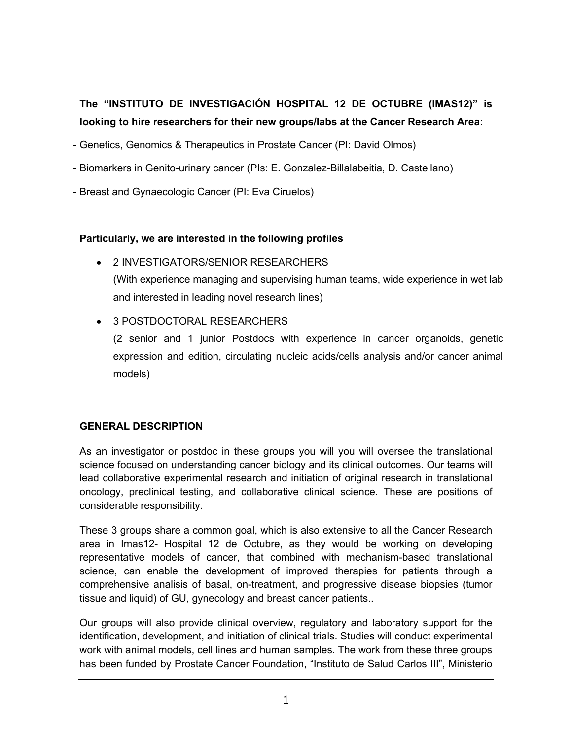# **The "INSTITUTO DE INVESTIGACIÓN HOSPITAL 12 DE OCTUBRE (IMAS12)" is looking to hire researchers for their new groups/labs at the Cancer Research Area:**

- Genetics, Genomics & Therapeutics in Prostate Cancer (PI: David Olmos)
- Biomarkers in Genito-urinary cancer (PIs: E. Gonzalez-Billalabeitia, D. Castellano)
- Breast and Gynaecologic Cancer (PI: Eva Ciruelos)

#### **Particularly, we are interested in the following profiles**

- 2 INVESTIGATORS/SENIOR RESEARCHERS (With experience managing and supervising human teams, wide experience in wet lab and interested in leading novel research lines)
- 3 POSTDOCTORAL RESEARCHERS

(2 senior and 1 junior Postdocs with experience in cancer organoids, genetic expression and edition, circulating nucleic acids/cells analysis and/or cancer animal models)

### **GENERAL DESCRIPTION**

As an investigator or postdoc in these groups you will you will oversee the translational science focused on understanding cancer biology and its clinical outcomes. Our teams will lead collaborative experimental research and initiation of original research in translational oncology, preclinical testing, and collaborative clinical science. These are positions of considerable responsibility.

These 3 groups share a common goal, which is also extensive to all the Cancer Research area in Imas12- Hospital 12 de Octubre, as they would be working on developing representative models of cancer, that combined with mechanism-based translational science, can enable the development of improved therapies for patients through a comprehensive analisis of basal, on-treatment, and progressive disease biopsies (tumor tissue and liquid) of GU, gynecology and breast cancer patients..

Our groups will also provide clinical overview, regulatory and laboratory support for the identification, development, and initiation of clinical trials. Studies will conduct experimental work with animal models, cell lines and human samples. The work from these three groups has been funded by Prostate Cancer Foundation, "Instituto de Salud Carlos III", Ministerio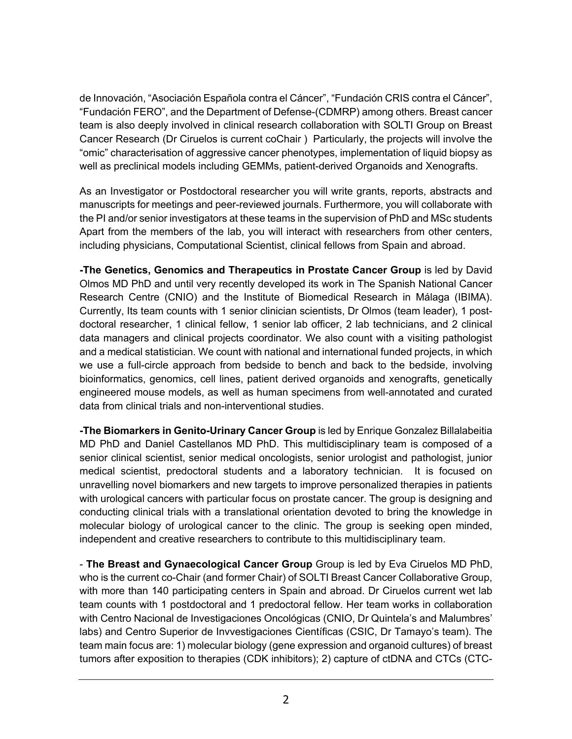de Innovación, "Asociación Española contra el Cáncer", "Fundación CRIS contra el Cáncer", "Fundación FERO", and the Department of Defense-(CDMRP) among others. Breast cancer team is also deeply involved in clinical research collaboration with SOLTI Group on Breast Cancer Research (Dr Ciruelos is current coChair ) Particularly, the projects will involve the "omic" characterisation of aggressive cancer phenotypes, implementation of liquid biopsy as well as preclinical models including GEMMs, patient-derived Organoids and Xenografts.

As an Investigator or Postdoctoral researcher you will write grants, reports, abstracts and manuscripts for meetings and peer-reviewed journals. Furthermore, you will collaborate with the PI and/or senior investigators at these teams in the supervision of PhD and MSc students Apart from the members of the lab, you will interact with researchers from other centers, including physicians, Computational Scientist, clinical fellows from Spain and abroad.

**-The Genetics, Genomics and Therapeutics in Prostate Cancer Group** is led by David Olmos MD PhD and until very recently developed its work in The Spanish National Cancer Research Centre (CNIO) and the Institute of Biomedical Research in Málaga (IBIMA). Currently, Its team counts with 1 senior clinician scientists, Dr Olmos (team leader), 1 postdoctoral researcher, 1 clinical fellow, 1 senior lab officer, 2 lab technicians, and 2 clinical data managers and clinical projects coordinator. We also count with a visiting pathologist and a medical statistician. We count with national and international funded projects, in which we use a full-circle approach from bedside to bench and back to the bedside, involving bioinformatics, genomics, cell lines, patient derived organoids and xenografts, genetically engineered mouse models, as well as human specimens from well-annotated and curated data from clinical trials and non-interventional studies.

**-The Biomarkers in Genito-Urinary Cancer Group** is led by Enrique Gonzalez Billalabeitia MD PhD and Daniel Castellanos MD PhD. This multidisciplinary team is composed of a senior clinical scientist, senior medical oncologists, senior urologist and pathologist, junior medical scientist, predoctoral students and a laboratory technician. It is focused on unravelling novel biomarkers and new targets to improve personalized therapies in patients with urological cancers with particular focus on prostate cancer. The group is designing and conducting clinical trials with a translational orientation devoted to bring the knowledge in molecular biology of urological cancer to the clinic. The group is seeking open minded, independent and creative researchers to contribute to this multidisciplinary team.

- **The Breast and Gynaecological Cancer Group** Group is led by Eva Ciruelos MD PhD' who is the current co-Chair (and former Chair) of SOLTI Breast Cancer Collaborative Group, with more than 140 participating centers in Spain and abroad. Dr Ciruelos current wet lab team counts with 1 postdoctoral and 1 predoctoral fellow. Her team works in collaboration with Centro Nacional de Investigaciones Oncológicas (CNIO, Dr Quintela's and Malumbres' labs) and Centro Superior de Invvestigaciones Científicas (CSIC, Dr Tamayo's team). The team main focus are: 1) molecular biology (gene expression and organoid cultures) of breast tumors after exposition to therapies (CDK inhibitors); 2) capture of ctDNA and CTCs (CTC-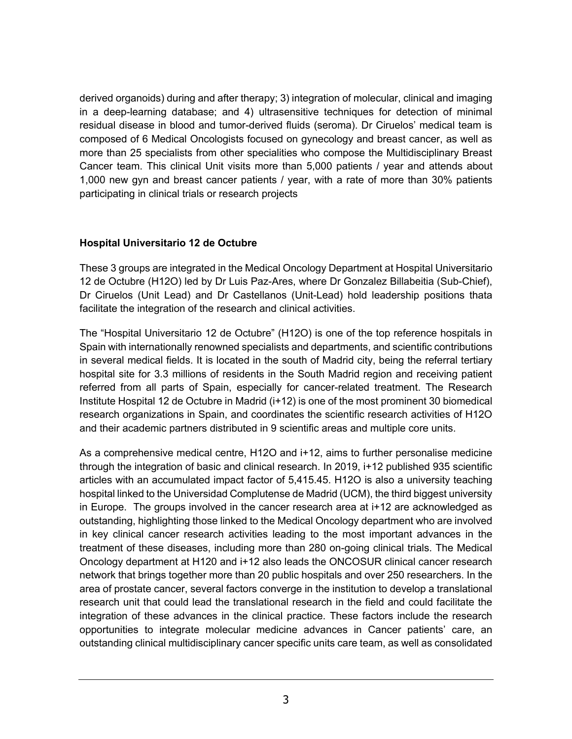derived organoids) during and after therapy; 3) integration of molecular, clinical and imaging in a deep-learning database; and 4) ultrasensitive techniques for detection of minimal residual disease in blood and tumor-derived fluids (seroma). Dr Ciruelos' medical team is composed of 6 Medical Oncologists focused on gynecology and breast cancer, as well as more than 25 specialists from other specialities who compose the Multidisciplinary Breast Cancer team. This clinical Unit visits more than 5,000 patients / year and attends about 1,000 new gyn and breast cancer patients / year, with a rate of more than 30% patients participating in clinical trials or research projects

#### **Hospital Universitario 12 de Octubre**

These 3 groups are integrated in the Medical Oncology Department at Hospital Universitario 12 de Octubre (H12O) led by Dr Luis Paz-Ares, where Dr Gonzalez Billabeitia (Sub-Chief), Dr Ciruelos (Unit Lead) and Dr Castellanos (Unit-Lead) hold leadership positions thata facilitate the integration of the research and clinical activities.

The "Hospital Universitario 12 de Octubre" (H12O) is one of the top reference hospitals in Spain with internationally renowned specialists and departments, and scientific contributions in several medical fields. It is located in the south of Madrid city, being the referral tertiary hospital site for 3.3 millions of residents in the South Madrid region and receiving patient referred from all parts of Spain, especially for cancer-related treatment. The Research Institute Hospital 12 de Octubre in Madrid (i+12) is one of the most prominent 30 biomedical research organizations in Spain, and coordinates the scientific research activities of H12O and their academic partners distributed in 9 scientific areas and multiple core units.

As a comprehensive medical centre, H12O and i+12, aims to further personalise medicine through the integration of basic and clinical research. In 2019, i+12 published 935 scientific articles with an accumulated impact factor of 5,415.45. H12O is also a university teaching hospital linked to the Universidad Complutense de Madrid (UCM), the third biggest university in Europe. The groups involved in the cancer research area at i+12 are acknowledged as outstanding, highlighting those linked to the Medical Oncology department who are involved in key clinical cancer research activities leading to the most important advances in the treatment of these diseases, including more than 280 on-going clinical trials. The Medical Oncology department at H120 and i+12 also leads the ONCOSUR clinical cancer research network that brings together more than 20 public hospitals and over 250 researchers. In the area of prostate cancer, several factors converge in the institution to develop a translational research unit that could lead the translational research in the field and could facilitate the integration of these advances in the clinical practice. These factors include the research opportunities to integrate molecular medicine advances in Cancer patients' care, an outstanding clinical multidisciplinary cancer specific units care team, as well as consolidated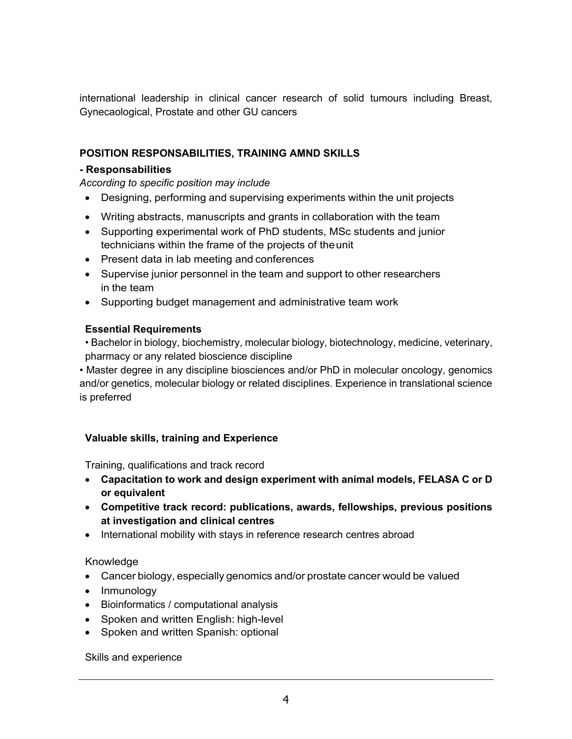international leadership in clinical cancer research of solid tumours including Breast, Gynecaological, Prostate and other GU cancers

## **POSITION RESPONSABILITIES, TRAINING AMND SKILLS**

#### **- Responsabilities**

*According to specific position may include*

- Designing, performing and supervising experiments within the unit projects
- Writing abstracts, manuscripts and grants in collaboration with the team
- Supporting experimental work of PhD students, MSc students and junior technicians within the frame of the projects of theunit
- Present data in lab meeting and conferences
- Supervise junior personnel in the team and support to other researchers in the team
- Supporting budget management and administrative team work

### **Essential Requirements**

• Bachelor in biology, biochemistry, molecular biology, biotechnology, medicine, veterinary, pharmacy or any related bioscience discipline

• Master degree in any discipline biosciences and/or PhD in molecular oncology, genomics and/or genetics, molecular biology or related disciplines. Experience in translational science is preferred

## **Valuable skills, training and Experience**

Training, qualifications and track record

- **Capacitation to work and design experiment with animal models, FELASA C or D or equivalent**
- **Competitive track record: publications, awards, fellowships, previous positions at investigation and clinical centres**
- International mobility with stays in reference research centres abroad

### Knowledge

- Cancer biology, especially genomics and/or prostate cancer would be valued
- Inmunology
- Bioinformatics / computational analysis
- Spoken and written English: high-level
- Spoken and written Spanish: optional

### Skills and experience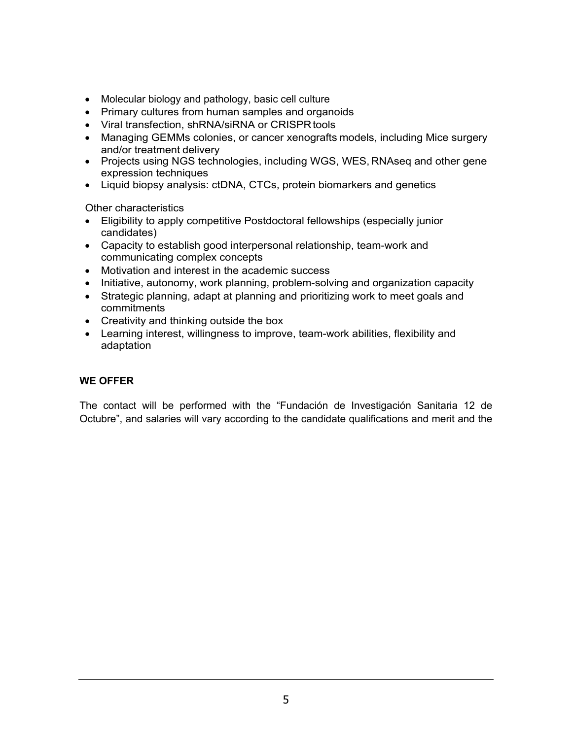- Molecular biology and pathology, basic cell culture
- Primary cultures from human samples and organoids
- Viral transfection, shRNA/siRNA or CRISPR tools
- Managing GEMMs colonies, or cancer xenografts models, including Mice surgery and/or treatment delivery
- Projects using NGS technologies, including WGS, WES, RNAseq and other gene expression techniques
- Liquid biopsy analysis: ctDNA, CTCs, protein biomarkers and genetics

Other characteristics

- Eligibility to apply competitive Postdoctoral fellowships (especially junior candidates)
- Capacity to establish good interpersonal relationship, team-work and communicating complex concepts
- Motivation and interest in the academic success
- Initiative, autonomy, work planning, problem-solving and organization capacity
- Strategic planning, adapt at planning and prioritizing work to meet goals and commitments
- Creativity and thinking outside the box
- Learning interest, willingness to improve, team-work abilities, flexibility and adaptation

### **WE OFFER**

The contact will be performed with the "Fundación de Investigación Sanitaria 12 de Octubre", and salaries will vary according to the candidate qualifications and merit and the